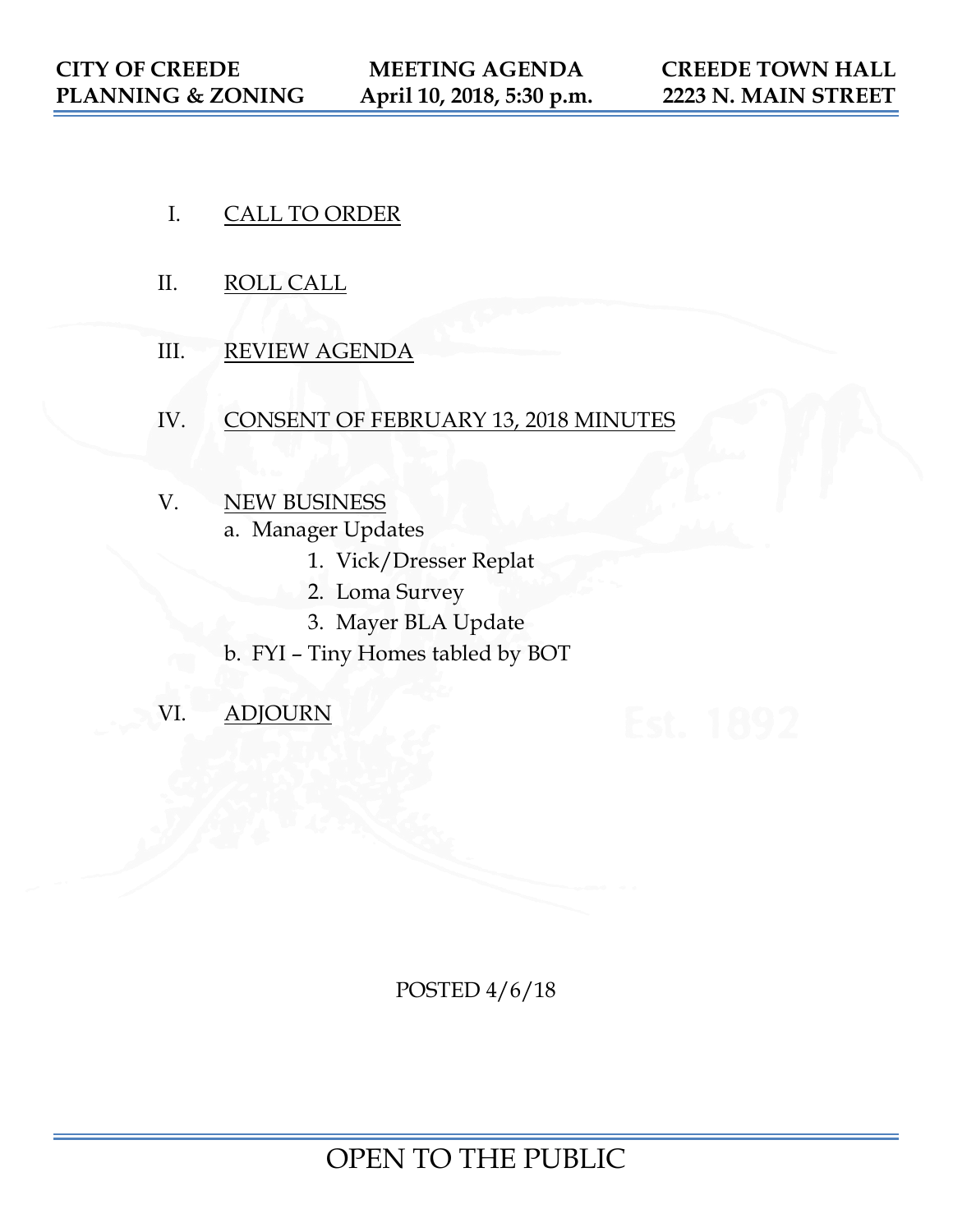- I. CALL TO ORDER
- II. ROLL CALL
- III. REVIEW AGENDA
- IV. CONSENT OF FEBRUARY 13, 2018 MINUTES
- V. NEW BUSINESS
	- a. Manager Updates
		- 1. Vick/Dresser Replat
		- 2. Loma Survey
		- 3. Mayer BLA Update
	- b. FYI Tiny Homes tabled by BOT
- VI. ADJOURN

POSTED 4/6/18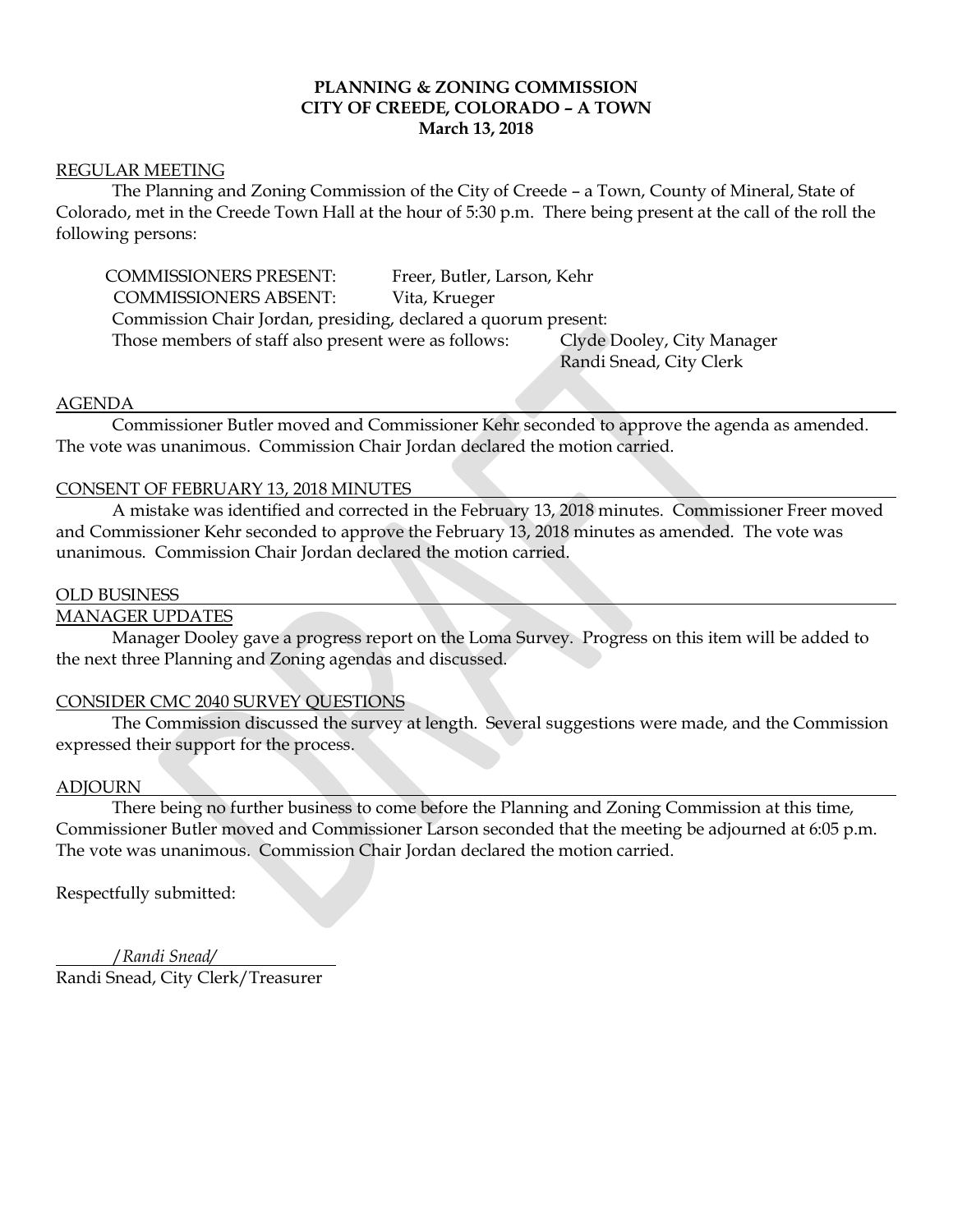## **PLANNING & ZONING COMMISSION CITY OF CREEDE, COLORADO – A TOWN March 13, 2018**

#### REGULAR MEETING

The Planning and Zoning Commission of the City of Creede – a Town, County of Mineral, State of Colorado, met in the Creede Town Hall at the hour of 5:30 p.m. There being present at the call of the roll the following persons:

COMMISSIONERS PRESENT: Freer, Butler, Larson, Kehr COMMISSIONERS ABSENT: Vita, Krueger Commission Chair Jordan, presiding, declared a quorum present: Those members of staff also present were as follows: Clyde Dooley, City Manager Randi Snead, City Clerk

### AGENDA

Commissioner Butler moved and Commissioner Kehr seconded to approve the agenda as amended. The vote was unanimous. Commission Chair Jordan declared the motion carried.

## CONSENT OF FEBRUARY 13, 2018 MINUTES

A mistake was identified and corrected in the February 13, 2018 minutes. Commissioner Freer moved and Commissioner Kehr seconded to approve the February 13, 2018 minutes as amended. The vote was unanimous. Commission Chair Jordan declared the motion carried.

### OLD BUSINESS

## MANAGER UPDATES

Manager Dooley gave a progress report on the Loma Survey. Progress on this item will be added to the next three Planning and Zoning agendas and discussed.

## CONSIDER CMC 2040 SURVEY QUESTIONS

The Commission discussed the survey at length. Several suggestions were made, and the Commission expressed their support for the process.

#### ADJOURN

There being no further business to come before the Planning and Zoning Commission at this time, Commissioner Butler moved and Commissioner Larson seconded that the meeting be adjourned at 6:05 p.m. The vote was unanimous. Commission Chair Jordan declared the motion carried.

Respectfully submitted:

 /*Randi Snead/* Randi Snead, City Clerk/Treasurer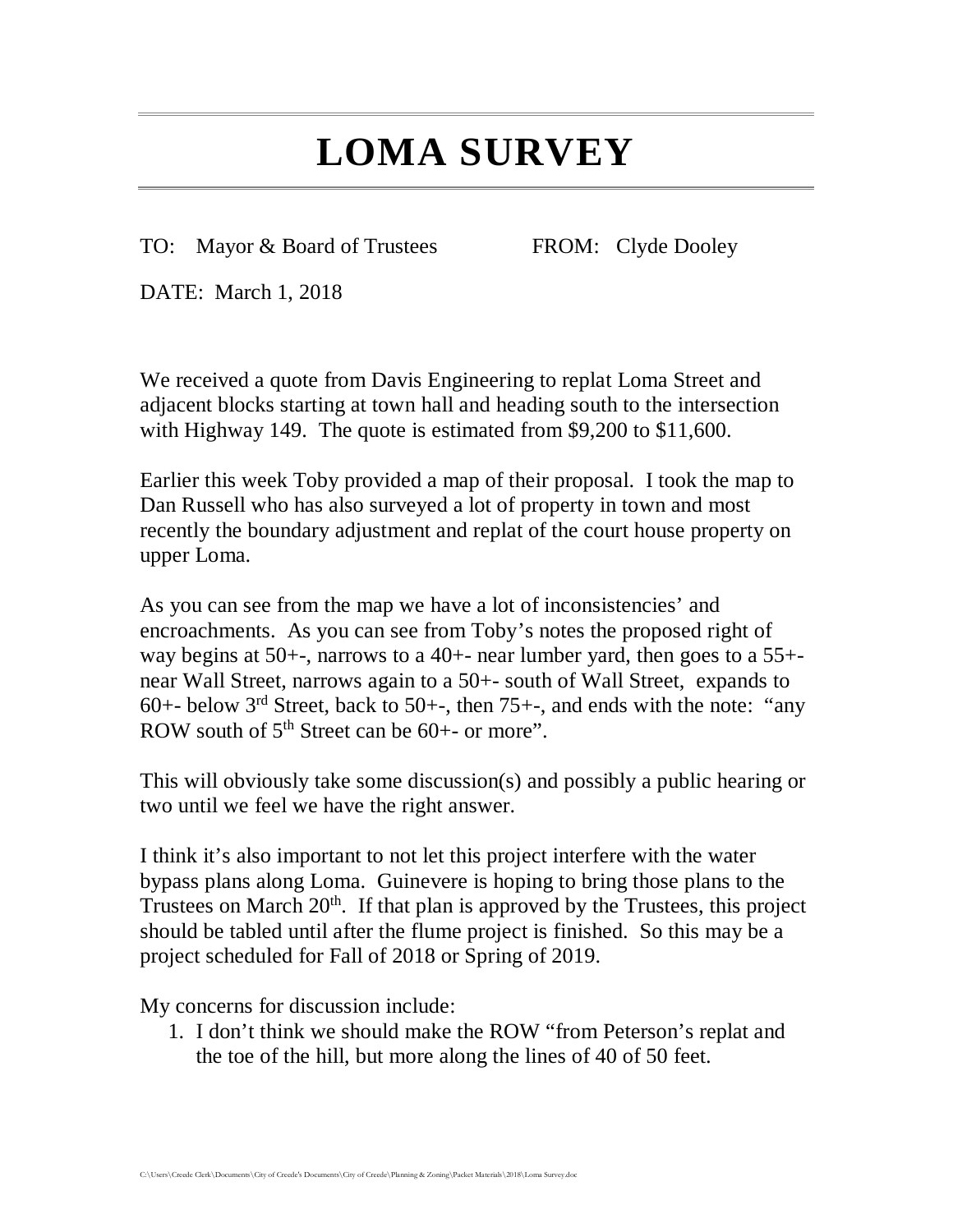# **LOMA SURVEY**

TO: Mayor & Board of Trustees FROM: Clyde Dooley

DATE: March 1, 2018

We received a quote from Davis Engineering to replat Loma Street and adjacent blocks starting at town hall and heading south to the intersection with Highway 149. The quote is estimated from \$9,200 to \$11,600.

Earlier this week Toby provided a map of their proposal. I took the map to Dan Russell who has also surveyed a lot of property in town and most recently the boundary adjustment and replat of the court house property on upper Loma.

As you can see from the map we have a lot of inconsistencies' and encroachments. As you can see from Toby's notes the proposed right of way begins at 50+-, narrows to a 40+- near lumber yard, then goes to a 55+ near Wall Street, narrows again to a 50+- south of Wall Street, expands to 60+- below  $3^{rd}$  Street, back to 50+-, then 75+-, and ends with the note: "any ROW south of  $5<sup>th</sup>$  Street can be 60+- or more".

This will obviously take some discussion(s) and possibly a public hearing or two until we feel we have the right answer.

I think it's also important to not let this project interfere with the water bypass plans along Loma. Guinevere is hoping to bring those plans to the Trustees on March  $20<sup>th</sup>$ . If that plan is approved by the Trustees, this project should be tabled until after the flume project is finished. So this may be a project scheduled for Fall of 2018 or Spring of 2019.

My concerns for discussion include:

1. I don't think we should make the ROW "from Peterson's replat and the toe of the hill, but more along the lines of 40 of 50 feet.